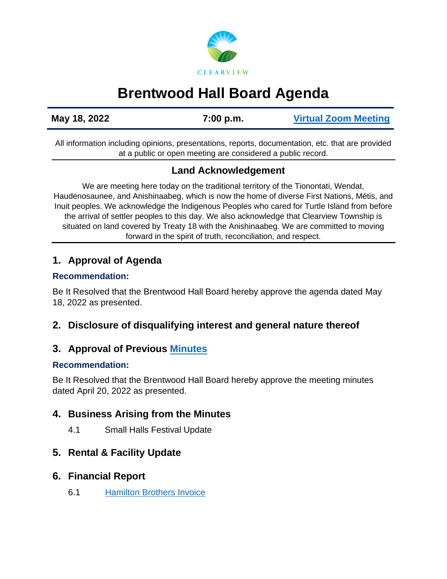# **CLEARVIEW**

# **Brentwood Hall Board Agenda**

**May 18, 2022 7:00 p.m. [Virtual Zoom Meeting](https://us02web.zoom.us/j/82697865492)**

All information including opinions, presentations, reports, documentation, etc. that are provided at a public or open meeting are considered a public record.

# **Land Acknowledgement**

We are meeting here today on the traditional territory of the Tionontati, Wendat, Haudenosaunee, and Anishinaabeg, which is now the home of diverse First Nations, Métis, and Inuit peoples. We acknowledge the Indigenous Peoples who cared for Turtle Island from before the arrival of settler peoples to this day. We also acknowledge that Clearview Township is situated on land covered by Treaty 18 with the Anishinaabeg. We are committed to moving forward in the spirit of truth, reconciliation, and respect.

# **1. Approval of Agenda**

#### **Recommendation:**

Be It Resolved that the Brentwood Hall Board hereby approve the agenda dated May 18, 2022 as presented.

# **2. Disclosure of disqualifying interest and general nature thereof**

# **3. Approval of Previous [Minutes](https://www.clearview.ca/sites/default/files/uploads/publications/2022-04-20_brentwood_hall_board_meeting_minutes.pdf)**

#### **Recommendation:**

Be It Resolved that the Brentwood Hall Board hereby approve the meeting minutes dated April 20, 2022 as presented.

# **4. Business Arising from the Minutes**

4.1 Small Halls Festival Update

# **5. Rental & Facility Update**

#### **6. Financial Report**

6.1 [Hamilton Brothers Invoice](https://www.clearview.ca/sites/default/files/uploads/publications/hamilton_bros._fuels.pdf)